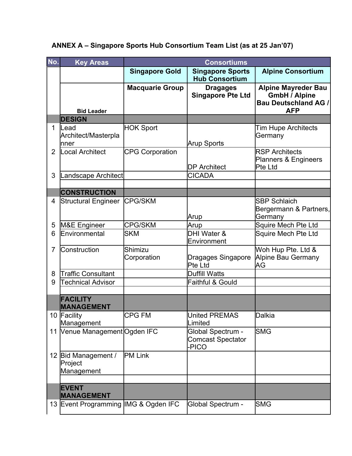| No.            | <b>Key Areas</b>                             | <b>Consortiums</b>     |                                                        |                                                                                   |  |
|----------------|----------------------------------------------|------------------------|--------------------------------------------------------|-----------------------------------------------------------------------------------|--|
|                |                                              | <b>Singapore Gold</b>  | <b>Singapore Sports</b><br><b>Hub Consortium</b>       | <b>Alpine Consortium</b>                                                          |  |
|                |                                              | <b>Macquarie Group</b> | <b>Dragages</b><br><b>Singapore Pte Ltd</b>            | <b>Alpine Mayreder Bau</b><br><b>GmbH / Alpine</b><br><b>Bau Deutschland AG /</b> |  |
|                | <b>Bid Leader</b><br><b>DESIGN</b>           |                        |                                                        | <b>AFP</b>                                                                        |  |
| $\mathbf{1}$   | Lead                                         |                        |                                                        |                                                                                   |  |
|                | Architect/Masterpla<br><b>Inner</b>          | <b>HOK Sport</b>       | <b>Arup Sports</b>                                     | <b>Tim Hupe Architects</b><br>Germany                                             |  |
| $\overline{2}$ | Local Architect                              | <b>CPG Corporation</b> |                                                        | <b>RSP Architects</b><br>Planners & Engineers                                     |  |
|                |                                              |                        | <b>DP Architect</b>                                    | Pte Ltd                                                                           |  |
| 3              | Landscape Architect                          |                        | <b>CICADA</b>                                          |                                                                                   |  |
|                |                                              |                        |                                                        |                                                                                   |  |
|                | <b>CONSTRUCTION</b>                          |                        |                                                        |                                                                                   |  |
| 4              | Structural Engineer                          | CPG/SKM                | Arup                                                   | <b>SBP Schlaich</b><br>Bergermann & Partners,<br>Germany                          |  |
| 5              | M&E Engineer                                 | <b>CPG/SKM</b>         | Arup                                                   | Squire Mech Pte Ltd                                                               |  |
| 6              | Environmental                                | <b>SKM</b>             | DHI Water &<br><b>Environment</b>                      | Squire Mech Pte Ltd                                                               |  |
| $\overline{7}$ | Construction                                 | Shimizu<br>Corporation | Dragages Singapore<br>Pte Ltd                          | Woh Hup Pte. Ltd &<br>Alpine Bau Germany<br>AG                                    |  |
| 8              | <b>Traffic Consultant</b>                    |                        | Duffill Watts                                          |                                                                                   |  |
| 9              | <b>Technical Advisor</b>                     |                        | Faithful & Gould                                       |                                                                                   |  |
|                |                                              |                        |                                                        |                                                                                   |  |
|                | <b>FACILITY</b><br><b>MANAGEMENT</b>         |                        |                                                        |                                                                                   |  |
|                | 10 Facility<br>Management                    | ICPG FM                | United PREMAS<br>Limited                               | Dalkia                                                                            |  |
|                | 11 Venue Management Ogden IFC                |                        | Global Spectrum -<br><b>Comcast Spectator</b><br>-PICO | <b>SMG</b>                                                                        |  |
|                | 12 Bid Management /<br>Project<br>Management | <b>PM Link</b>         |                                                        |                                                                                   |  |
|                | <b>EVENT</b><br><b>MANAGEMENT</b>            |                        |                                                        |                                                                                   |  |
|                | 13 Event Programming IMG & Ogden IFC         |                        | Global Spectrum -                                      | <b>SMG</b>                                                                        |  |

**ANNEX A – Singapore Sports Hub Consortium Team List (as at 25 Jan'07)**